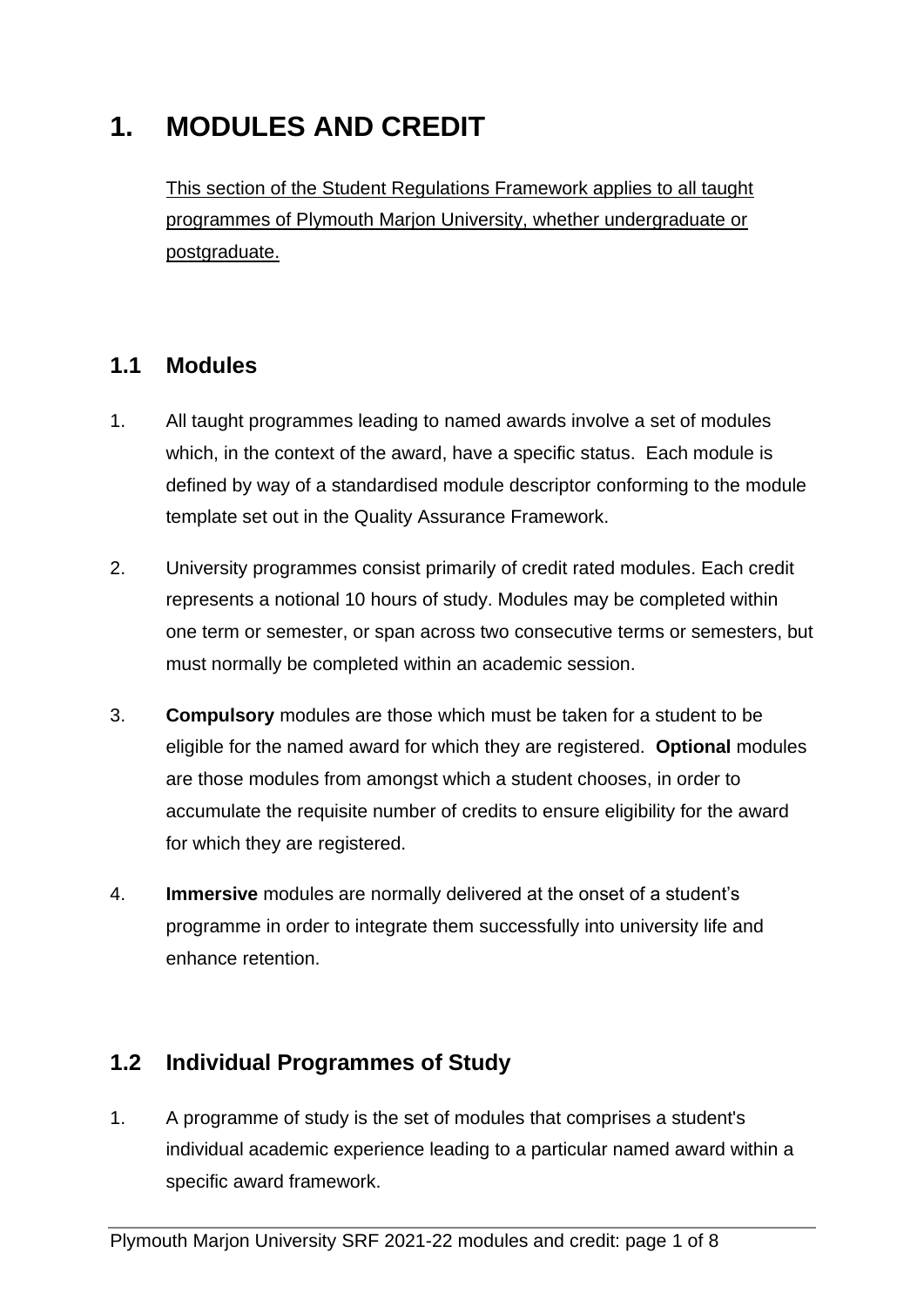# **1. MODULES AND CREDIT**

This section of the Student Regulations Framework applies to all taught programmes of Plymouth Marjon University, whether undergraduate or postgraduate.

## **1.1 Modules**

- 1. All taught programmes leading to named awards involve a set of modules which, in the context of the award, have a specific status. Each module is defined by way of a standardised module descriptor conforming to the module template set out in the Quality Assurance Framework.
- 2. University programmes consist primarily of credit rated modules. Each credit represents a notional 10 hours of study. Modules may be completed within one term or semester, or span across two consecutive terms or semesters, but must normally be completed within an academic session.
- 3. **Compulsory** modules are those which must be taken for a student to be eligible for the named award for which they are registered. **Optional** modules are those modules from amongst which a student chooses, in order to accumulate the requisite number of credits to ensure eligibility for the award for which they are registered.
- 4. **Immersive** modules are normally delivered at the onset of a student's programme in order to integrate them successfully into university life and enhance retention.

## **1.2 Individual Programmes of Study**

1. A programme of study is the set of modules that comprises a student's individual academic experience leading to a particular named award within a specific award framework.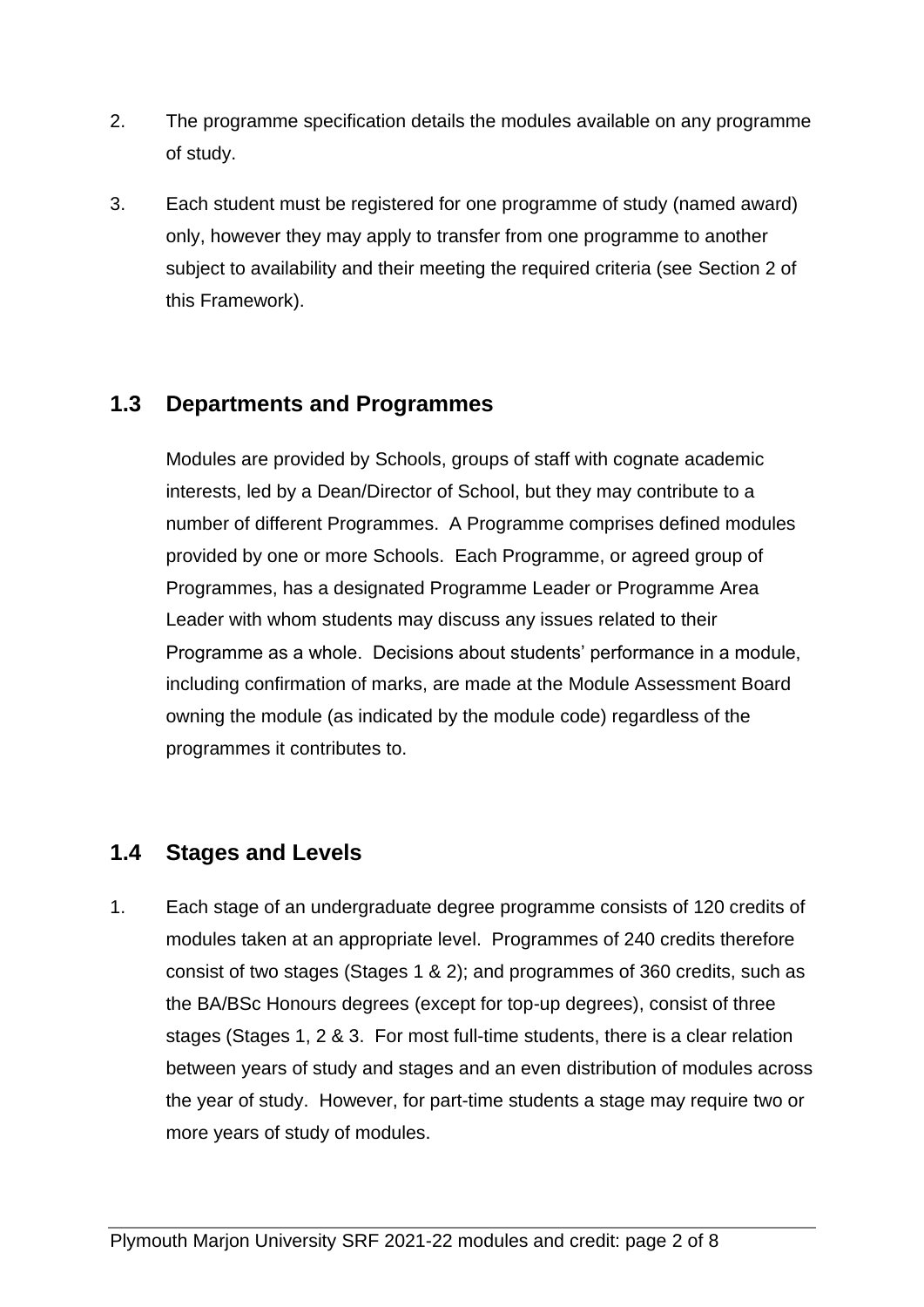- 2. The programme specification details the modules available on any programme of study.
- 3. Each student must be registered for one programme of study (named award) only, however they may apply to transfer from one programme to another subject to availability and their meeting the required criteria (see Section 2 of this Framework).

## **1.3 Departments and Programmes**

Modules are provided by Schools, groups of staff with cognate academic interests, led by a Dean/Director of School, but they may contribute to a number of different Programmes. A Programme comprises defined modules provided by one or more Schools. Each Programme, or agreed group of Programmes, has a designated Programme Leader or Programme Area Leader with whom students may discuss any issues related to their Programme as a whole. Decisions about students' performance in a module, including confirmation of marks, are made at the Module Assessment Board owning the module (as indicated by the module code) regardless of the programmes it contributes to.

#### **1.4 Stages and Levels**

1. Each stage of an undergraduate degree programme consists of 120 credits of modules taken at an appropriate level. Programmes of 240 credits therefore consist of two stages (Stages 1 & 2); and programmes of 360 credits, such as the BA/BSc Honours degrees (except for top-up degrees), consist of three stages (Stages 1, 2 & 3. For most full-time students, there is a clear relation between years of study and stages and an even distribution of modules across the year of study. However, for part-time students a stage may require two or more years of study of modules.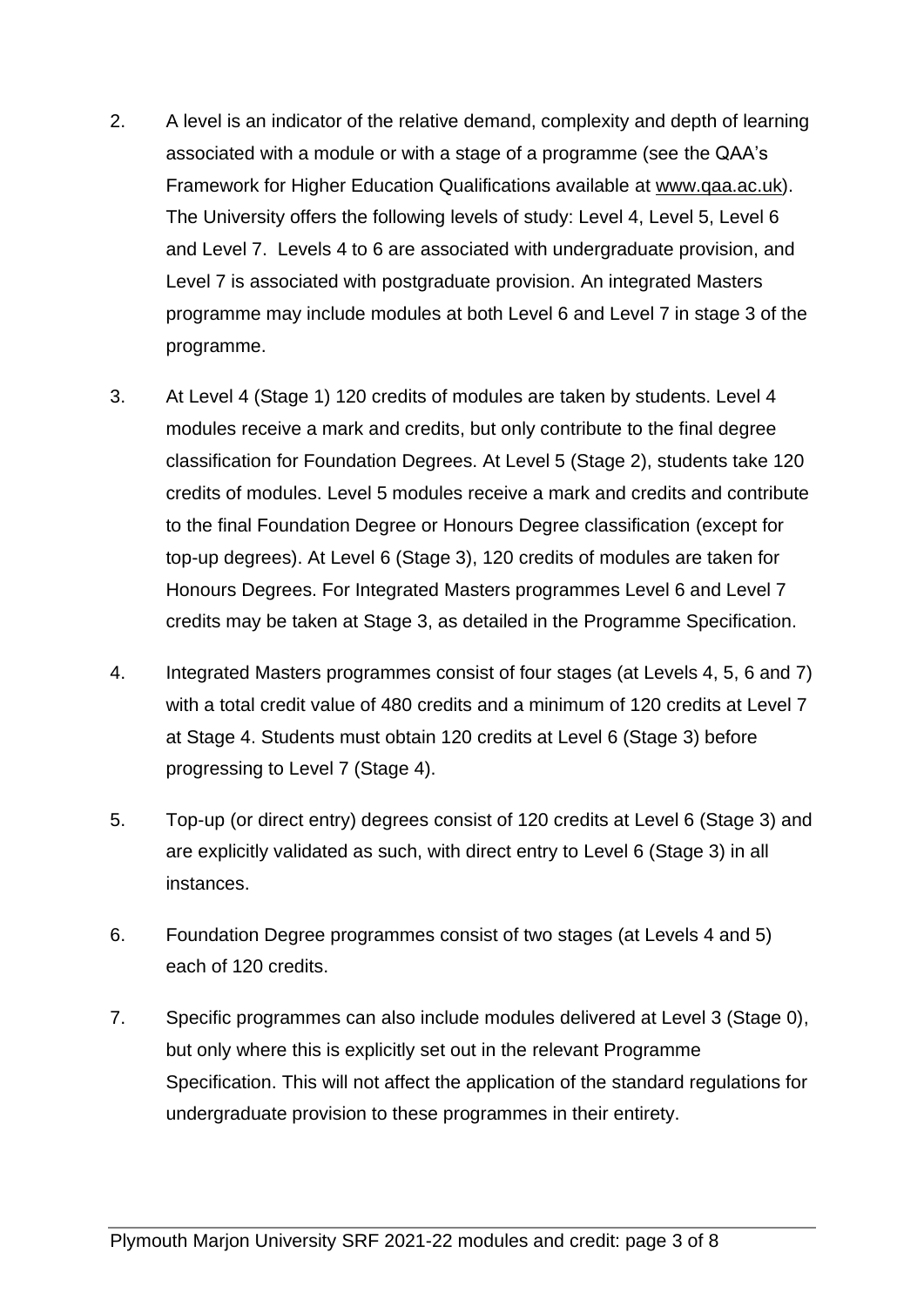- 2. A level is an indicator of the relative demand, complexity and depth of learning associated with a module or with a stage of a programme (see the QAA's Framework for Higher Education Qualifications available at [www.qaa.ac.uk\)](http://www.qaa.ac.uk/). The University offers the following levels of study: Level 4, Level 5, Level 6 and Level 7. Levels 4 to 6 are associated with undergraduate provision, and Level 7 is associated with postgraduate provision. An integrated Masters programme may include modules at both Level 6 and Level 7 in stage 3 of the programme.
- 3. At Level 4 (Stage 1) 120 credits of modules are taken by students. Level 4 modules receive a mark and credits, but only contribute to the final degree classification for Foundation Degrees. At Level 5 (Stage 2), students take 120 credits of modules. Level 5 modules receive a mark and credits and contribute to the final Foundation Degree or Honours Degree classification (except for top-up degrees). At Level 6 (Stage 3), 120 credits of modules are taken for Honours Degrees. For Integrated Masters programmes Level 6 and Level 7 credits may be taken at Stage 3, as detailed in the Programme Specification.
- 4. Integrated Masters programmes consist of four stages (at Levels 4, 5, 6 and 7) with a total credit value of 480 credits and a minimum of 120 credits at Level 7 at Stage 4. Students must obtain 120 credits at Level 6 (Stage 3) before progressing to Level 7 (Stage 4).
- 5. Top-up (or direct entry) degrees consist of 120 credits at Level 6 (Stage 3) and are explicitly validated as such, with direct entry to Level 6 (Stage 3) in all instances.
- 6. Foundation Degree programmes consist of two stages (at Levels 4 and 5) each of 120 credits.
- 7. Specific programmes can also include modules delivered at Level 3 (Stage 0), but only where this is explicitly set out in the relevant Programme Specification. This will not affect the application of the standard regulations for undergraduate provision to these programmes in their entirety.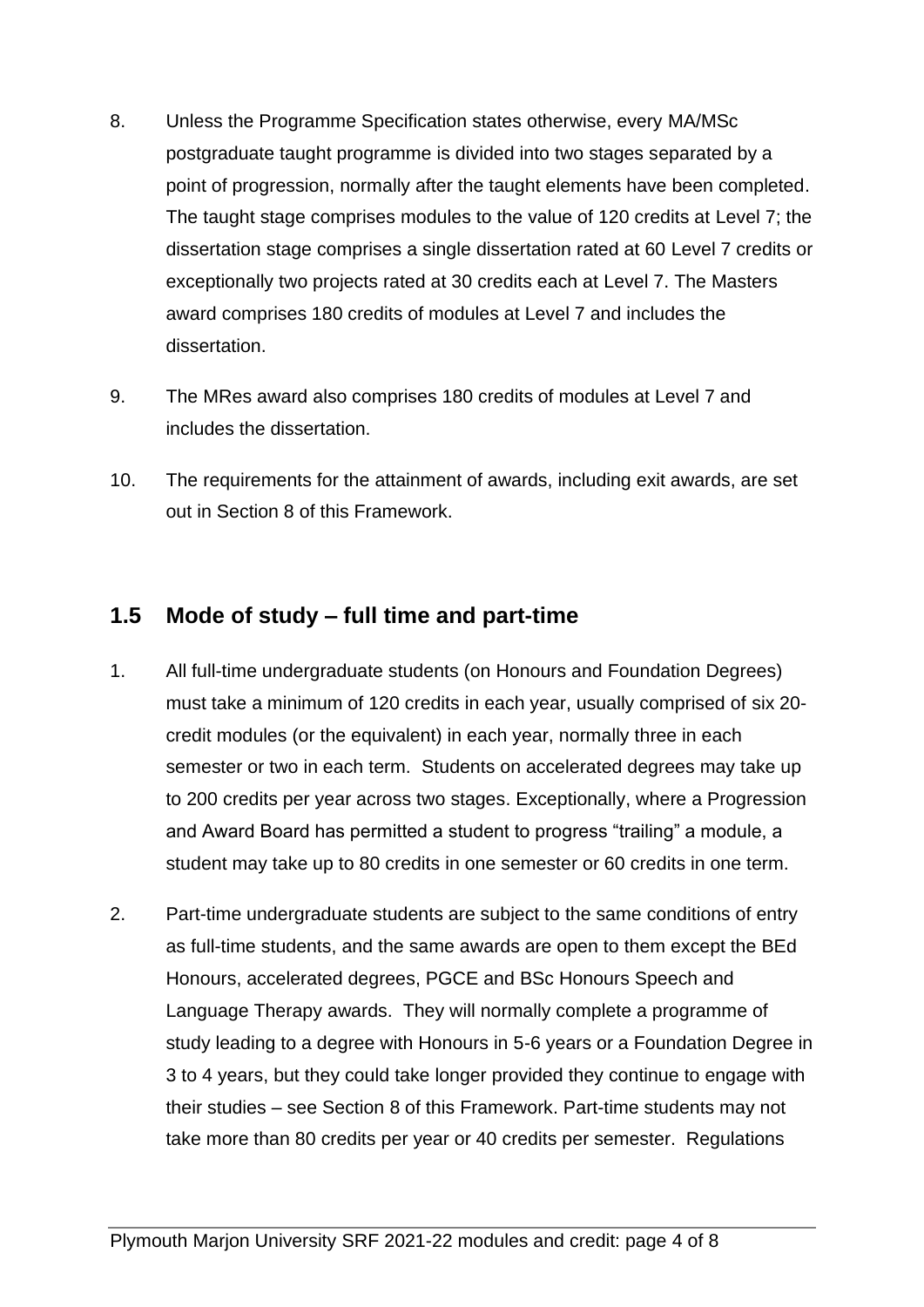- 8. Unless the Programme Specification states otherwise, every MA/MSc postgraduate taught programme is divided into two stages separated by a point of progression, normally after the taught elements have been completed. The taught stage comprises modules to the value of 120 credits at Level 7; the dissertation stage comprises a single dissertation rated at 60 Level 7 credits or exceptionally two projects rated at 30 credits each at Level 7. The Masters award comprises 180 credits of modules at Level 7 and includes the dissertation.
- 9. The MRes award also comprises 180 credits of modules at Level 7 and includes the dissertation.
- 10. The requirements for the attainment of awards, including exit awards, are set out in Section 8 of this Framework.

## **1.5 Mode of study – full time and part-time**

- 1. All full-time undergraduate students (on Honours and Foundation Degrees) must take a minimum of 120 credits in each year, usually comprised of six 20 credit modules (or the equivalent) in each year, normally three in each semester or two in each term. Students on accelerated degrees may take up to 200 credits per year across two stages. Exceptionally, where a Progression and Award Board has permitted a student to progress "trailing" a module, a student may take up to 80 credits in one semester or 60 credits in one term.
- 2. Part-time undergraduate students are subject to the same conditions of entry as full-time students, and the same awards are open to them except the BEd Honours, accelerated degrees, PGCE and BSc Honours Speech and Language Therapy awards. They will normally complete a programme of study leading to a degree with Honours in 5-6 years or a Foundation Degree in 3 to 4 years, but they could take longer provided they continue to engage with their studies – see Section 8 of this Framework. Part-time students may not take more than 80 credits per year or 40 credits per semester. Regulations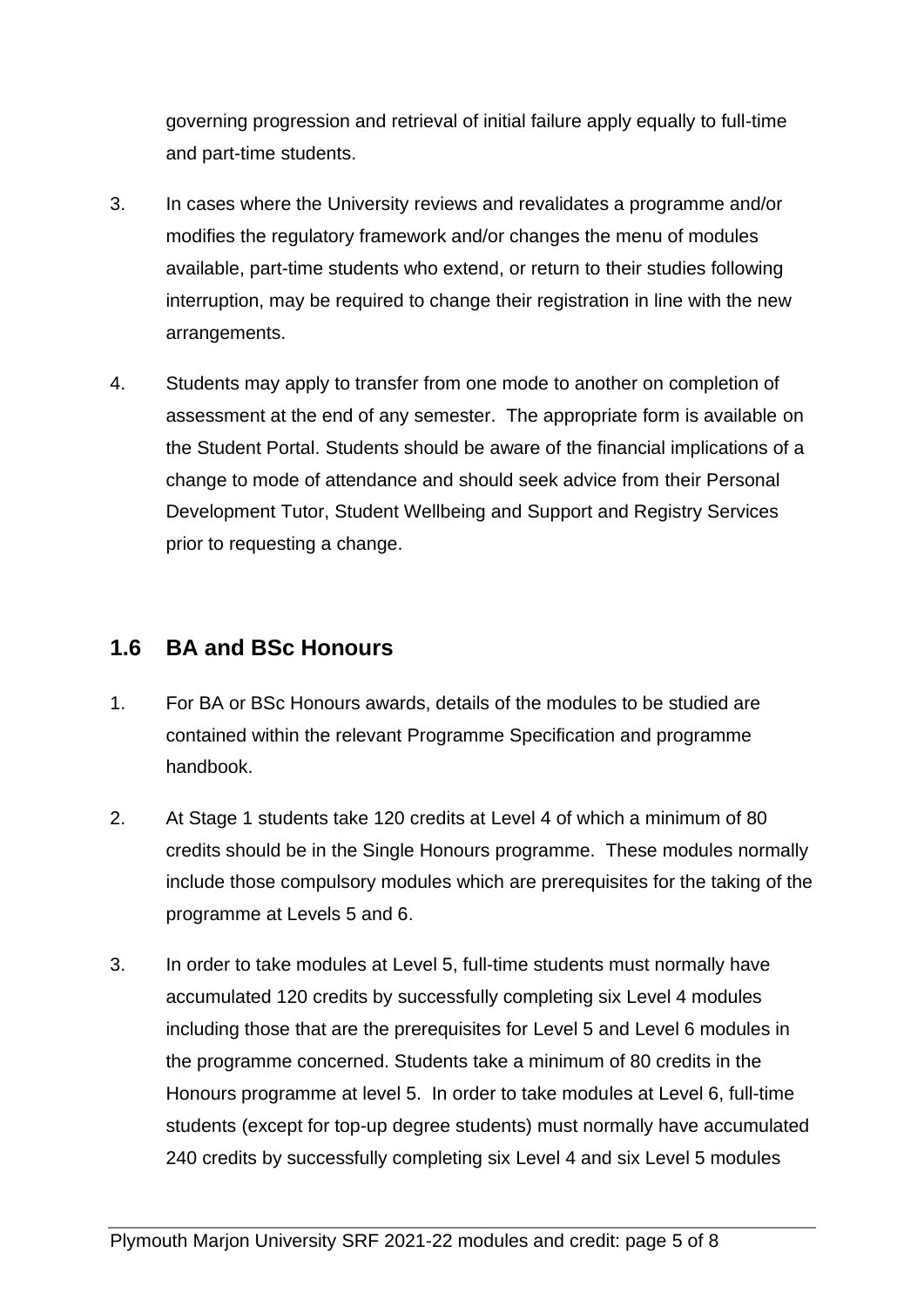governing progression and retrieval of initial failure apply equally to full-time and part-time students.

- 3. In cases where the University reviews and revalidates a programme and/or modifies the regulatory framework and/or changes the menu of modules available, part-time students who extend, or return to their studies following interruption, may be required to change their registration in line with the new arrangements.
- 4. Students may apply to transfer from one mode to another on completion of assessment at the end of any semester. The appropriate form is available on the Student Portal. Students should be aware of the financial implications of a change to mode of attendance and should seek advice from their Personal Development Tutor, Student Wellbeing and Support and Registry Services prior to requesting a change.

## **1.6 BA and BSc Honours**

- 1. For BA or BSc Honours awards, details of the modules to be studied are contained within the relevant Programme Specification and programme handbook.
- 2. At Stage 1 students take 120 credits at Level 4 of which a minimum of 80 credits should be in the Single Honours programme. These modules normally include those compulsory modules which are prerequisites for the taking of the programme at Levels 5 and 6.
- 3. In order to take modules at Level 5, full-time students must normally have accumulated 120 credits by successfully completing six Level 4 modules including those that are the prerequisites for Level 5 and Level 6 modules in the programme concerned. Students take a minimum of 80 credits in the Honours programme at level 5. In order to take modules at Level 6, full-time students (except for top-up degree students) must normally have accumulated 240 credits by successfully completing six Level 4 and six Level 5 modules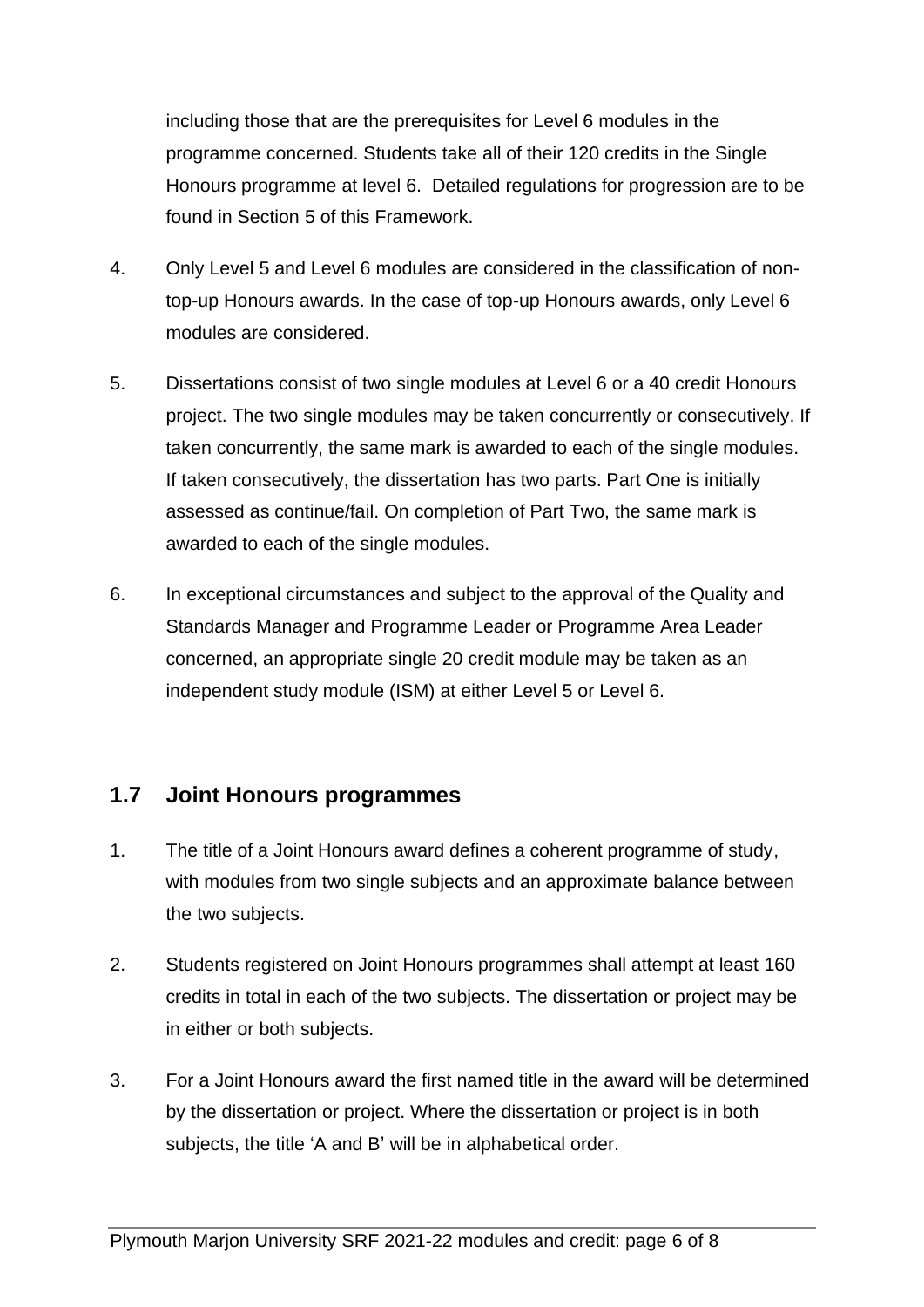including those that are the prerequisites for Level 6 modules in the programme concerned. Students take all of their 120 credits in the Single Honours programme at level 6. Detailed regulations for progression are to be found in Section 5 of this Framework.

- 4. Only Level 5 and Level 6 modules are considered in the classification of nontop-up Honours awards. In the case of top-up Honours awards, only Level 6 modules are considered.
- 5. Dissertations consist of two single modules at Level 6 or a 40 credit Honours project. The two single modules may be taken concurrently or consecutively. If taken concurrently, the same mark is awarded to each of the single modules. If taken consecutively, the dissertation has two parts. Part One is initially assessed as continue/fail. On completion of Part Two, the same mark is awarded to each of the single modules.
- 6. In exceptional circumstances and subject to the approval of the Quality and Standards Manager and Programme Leader or Programme Area Leader concerned, an appropriate single 20 credit module may be taken as an independent study module (ISM) at either Level 5 or Level 6.

## **1.7 Joint Honours programmes**

- 1. The title of a Joint Honours award defines a coherent programme of study, with modules from two single subjects and an approximate balance between the two subjects.
- 2. Students registered on Joint Honours programmes shall attempt at least 160 credits in total in each of the two subjects. The dissertation or project may be in either or both subjects.
- 3. For a Joint Honours award the first named title in the award will be determined by the dissertation or project. Where the dissertation or project is in both subjects, the title 'A and B' will be in alphabetical order.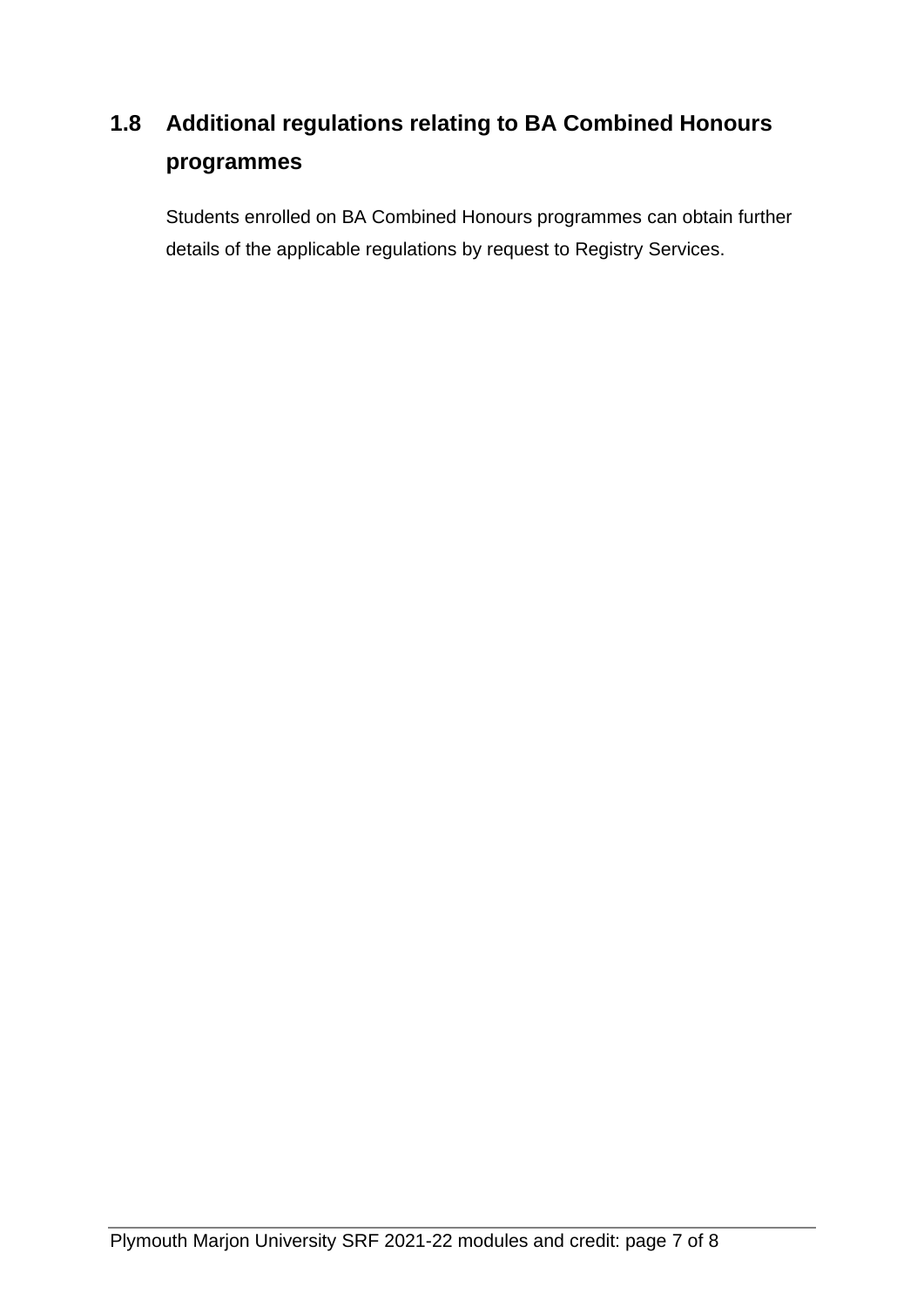## **1.8 Additional regulations relating to BA Combined Honours programmes**

Students enrolled on BA Combined Honours programmes can obtain further details of the applicable regulations by request to Registry Services.